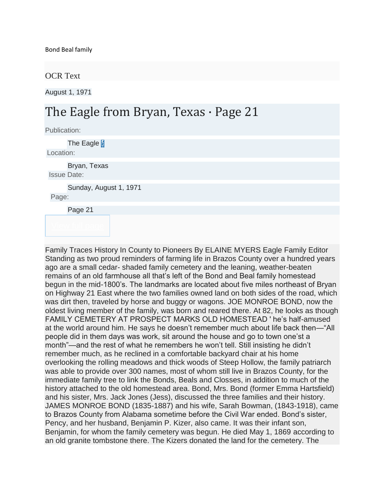## OCR Text

August 1, 1971

## The Eagle from Bryan, Texas · Page 21

Publication:

The Eagle *[i](http://www.newspapers.com/title_1286/the_eagle/)* Location:

Bryan, Texas Issue Date:

Sunday, August 1, 1971

Page:

Page 21

Family Traces History In County to Pioneers By ELAINE MYERS Eagle Family Editor Standing as two proud reminders of farming life in Brazos County over a hundred years ago are a small cedar- shaded family cemetery and the leaning, weather-beaten remains of an old farmhouse all that's left of the Bond and Beal family homestead begun in the mid-1800's. The landmarks are located about five miles northeast of Bryan on Highway 21 East where the two families owned land on both sides of the road, which was dirt then, traveled by horse and buggy or wagons. JOE MONROE BOND, now the oldest living member of the family, was born and reared there. At 82, he looks as though FAMILY CEMETERY AT PROSPECT MARKS OLD HOMESTEAD ' he's half-amused at the world around him. He says he doesn't remember much about life back then—"All people did in them days was work, sit around the house and go to town one'st a month"—and the rest of what he remembers he won't tell. Still insisting he didn't remember much, as he reclined in a comfortable backyard chair at his home overlooking the rolling meadows and thick woods of Steep Hollow, the family patriarch was able to provide over 300 names, most of whom still live in Brazos County, for the immediate family tree to link the Bonds, Beals and Closses, in addition to much of the history attached to the old homestead area. Bond, Mrs. Bond (former Emma Hartsfield) and his sister, Mrs. Jack Jones (Jess), discussed the three families and their history. JAMES MONROE BOND (1835-1887) and his wife, Sarah Bowman, (1843-1918), came to Brazos County from Alabama sometime before the Civil War ended. Bond's sister, Pency, and her husband, Benjamin P. Kizer, also came. It was their infant son, Benjamin, for whom the family cemetery was begun. He died May 1, 1869 according to an old granite tombstone there. The Kizers donated the land for the cemetery. The